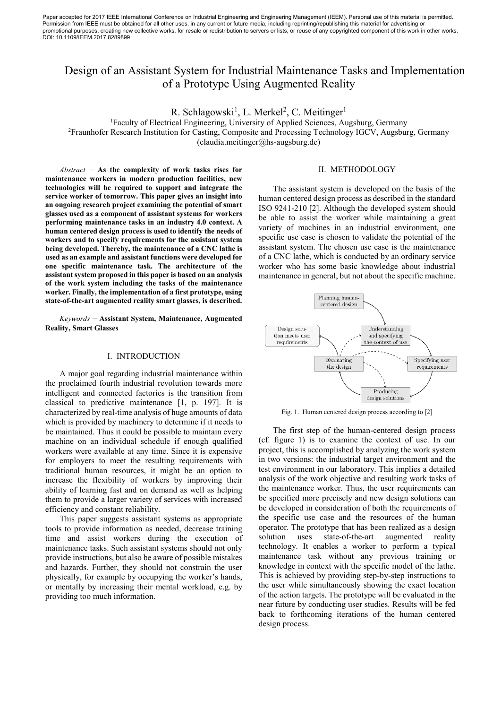Paper accepted for 2017 IEEE International Conference on Industrial Engineering and Engineering Management (IEEM). Personal use of this material is permitted Permission from IEEE must be obtained for all other uses, in any current or future media, including reprinting/republishing this material for advertising or promotional purposes, creating new collective works, for resale or redistribution to servers or lists, or reuse of any copyrighted component of this work in other works. DOI: 10.1109/IEEM.2017.8289899

# Design of an Assistant System for Industrial Maintenance Tasks and Implementation of a Prototype Using Augmented Reality

R. Schlagowski<sup>1</sup>, L. Merkel<sup>2</sup>, C. Meitinger<sup>1</sup>

<sup>1</sup> Faculty of Electrical Engineering, University of Applied Sciences, Augsburg, Germany<br><sup>2</sup> Fraunhofer Research Institution for Casting, Composite and Processing Technology IGCV, Augsburg Fraunhofer Research Institution for Casting, Composite and Processing Technology IGCV, Augsburg, Germany

 $(claudia.meitinger@hs-augsburg.de)$ 

*Abstract* – **As the complexity of work tasks rises for maintenance workers in modern production facilities, new technologies will be required to support and integrate the service worker of tomorrow. This paper gives an insight into an ongoing research project examining the potential of smart glasses used as a component of assistant systems for workers performing maintenance tasks in an industry 4.0 context. A human centered design process is used to identify the needs of workers and to specify requirements for the assistant system being developed. Thereby, the maintenance of a CNC lathe is used as an example and assistant functions were developed for one specific maintenance task. The architecture of the assistant system proposed in this paper is based on an analysis of the work system including the tasks of the maintenance worker. Finally, the implementation of a first prototype, using state-of-the-art augmented reality smart glasses, is described.**

*Keywords* – **Assistant System, Maintenance, Augmented Reality, Smart Glasses** 

#### I. INTRODUCTION

 A major goal regarding industrial maintenance within the proclaimed fourth industrial revolution towards more intelligent and connected factories is the transition from classical to predictive maintenance [1, p. 197]. It is characterized by real-time analysis of huge amounts of data which is provided by machinery to determine if it needs to be maintained. Thus it could be possible to maintain every machine on an individual schedule if enough qualified workers were available at any time. Since it is expensive for employers to meet the resulting requirements with traditional human resources, it might be an option to increase the flexibility of workers by improving their ability of learning fast and on demand as well as helping them to provide a larger variety of services with increased efficiency and constant reliability.

 This paper suggests assistant systems as appropriate tools to provide information as needed, decrease training time and assist workers during the execution of maintenance tasks. Such assistant systems should not only provide instructions, but also be aware of possible mistakes and hazards. Further, they should not constrain the user physically, for example by occupying the worker's hands, or mentally by increasing their mental workload, e.g. by providing too much information.

## II. METHODOLOGY

 The assistant system is developed on the basis of the human centered design process as described in the standard ISO 9241-210 [2]. Although the developed system should be able to assist the worker while maintaining a great variety of machines in an industrial environment, one specific use case is chosen to validate the potential of the assistant system. The chosen use case is the maintenance of a CNC lathe, which is conducted by an ordinary service worker who has some basic knowledge about industrial maintenance in general, but not about the specific machine.



Fig. 1. Human centered design process according to [2]

 The first step of the human-centered design process (cf. figure 1) is to examine the context of use. In our project, this is accomplished by analyzing the work system in two versions: the industrial target environment and the test environment in our laboratory. This implies a detailed analysis of the work objective and resulting work tasks of the maintenance worker. Thus, the user requirements can be specified more precisely and new design solutions can be developed in consideration of both the requirements of the specific use case and the resources of the human operator. The prototype that has been realized as a design solution uses state-of-the-art augmented reality technology. It enables a worker to perform a typical maintenance task without any previous training or knowledge in context with the specific model of the lathe. This is achieved by providing step-by-step instructions to the user while simultaneously showing the exact location of the action targets. The prototype will be evaluated in the near future by conducting user studies. Results will be fed back to forthcoming iterations of the human centered design process.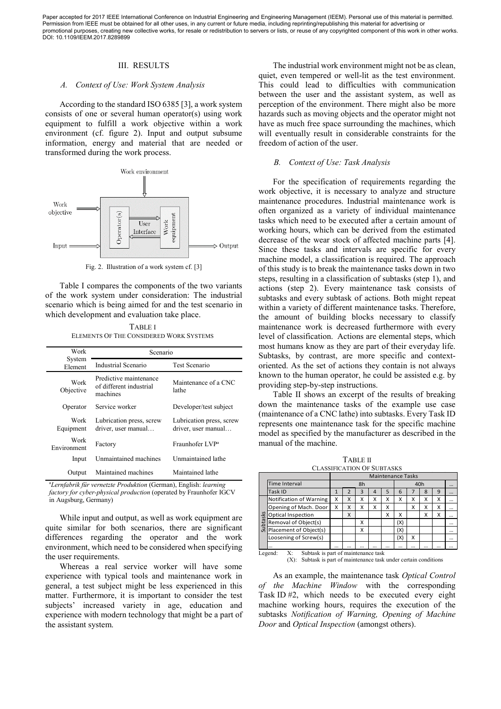Paper accepted for 2017 IEEE International Conference on Industrial Engineering and Engineering Management (IEEM). Personal use of this material is permitted. Permission from IEEE must be obtained for all other uses, in any current or future media, including reprinting/republishing this material for advertising or promotional purposes, creating new collective works, for resale or redistribution to servers or lists, or reuse of any copyrighted component of this work in other works. DOI: 10.1109/IEEM.2017.8289899

#### III. RESULTS

## *A. Context of Use: Work System Analysis*

According to the standard ISO 6385 [3], a work system consists of one or several human operator(s) using work equipment to fulfill a work objective within a work environment (cf. figure 2). Input and output subsume information, energy and material that are needed or transformed during the work process.



Fig. 2. Illustration of a work system cf. [3]

 Table I compares the components of the two variants of the work system under consideration: The industrial scenario which is being aimed for and the test scenario in which development and evaluation take place.

| <b>TABLE I</b>                          |
|-----------------------------------------|
| ELEMENTS OF THE CONSIDERED WORK SYSTEMS |

| Work                | Scenario                                                      |                                                 |  |  |  |
|---------------------|---------------------------------------------------------------|-------------------------------------------------|--|--|--|
| System<br>Element   | Industrial Scenario                                           | Test Scenario                                   |  |  |  |
| Work<br>Objective   | Predictive maintenance<br>of different industrial<br>machines | Maintenance of a CNC<br>lathe                   |  |  |  |
| Operator            | Service worker                                                | Developer/test subject                          |  |  |  |
| Work<br>Equipment   | Lubrication press, screw<br>driver, user manual               | Lubrication press, screw<br>driver, user manual |  |  |  |
| Work<br>Environment | Factory                                                       | Fraunhofer LVP <sup>a</sup>                     |  |  |  |
| Input               | Unmaintained machines                                         | Unmaintained lathe                              |  |  |  |
| Output              | Maintained machines                                           | Maintained lathe                                |  |  |  |

a *Lernfabrik für vernetzte Produktion* (German), English: *learning factory for cyber-physical production* (operated by Fraunhofer IGCV in Augsburg, Germany)

While input and output, as well as work equipment are quite similar for both scenarios, there are significant differences regarding the operator and the work environment, which need to be considered when specifying the user requirements.

Whereas a real service worker will have some experience with typical tools and maintenance work in general, a test subject might be less experienced in this matter. Furthermore, it is important to consider the test subjects' increased variety in age, education and experience with modern technology that might be a part of the assistant system.

The industrial work environment might not be as clean, quiet, even tempered or well-lit as the test environment. This could lead to difficulties with communication between the user and the assistant system, as well as perception of the environment. There might also be more hazards such as moving objects and the operator might not have as much free space surrounding the machines, which will eventually result in considerable constraints for the freedom of action of the user.

### *B. Context of Use: Task Analysis*

For the specification of requirements regarding the work objective, it is necessary to analyze and structure maintenance procedures. Industrial maintenance work is often organized as a variety of individual maintenance tasks which need to be executed after a certain amount of working hours, which can be derived from the estimated decrease of the wear stock of affected machine parts [4]. Since these tasks and intervals are specific for every machine model, a classification is required. The approach of this study is to break the maintenance tasks down in two steps, resulting in a classification of subtasks (step 1), and actions (step 2). Every maintenance task consists of subtasks and every subtask of actions. Both might repeat within a variety of different maintenance tasks. Therefore, the amount of building blocks necessary to classify maintenance work is decreased furthermore with every level of classification. Actions are elemental steps, which most humans know as they are part of their everyday life. Subtasks, by contrast, are more specific and contextoriented. As the set of actions they contain is not always known to the human operator, he could be assisted e.g. by providing step-by-step instructions.

Table II shows an excerpt of the results of breaking down the maintenance tasks of the example use case (maintenance of a CNC lathe) into subtasks. Every Task ID represents one maintenance task for the specific machine model as specified by the manufacturer as described in the manual of the machine.

|                                                      | <b>CLASSIFICATION OF SUBTASKS</b> |   |                          |    |          |   |          |          |     |   |          |
|------------------------------------------------------|-----------------------------------|---|--------------------------|----|----------|---|----------|----------|-----|---|----------|
|                                                      |                                   |   | <b>Maintenance Tasks</b> |    |          |   |          |          |     |   |          |
|                                                      | <b>Time Interval</b>              |   |                          | 8h |          |   |          |          | 40h |   | $\cdots$ |
|                                                      | Task ID                           | 1 | 2                        | ς  | 4        | 5 | 6        |          | 8   | 9 | $\cdots$ |
|                                                      | Notification of Warning           | X | X                        | x  | X        | x | x        | x        | x   | X |          |
| Subtasks                                             | Opening of Mach. Door             | X | X                        | x  | X        | X |          | Χ        | x   | x |          |
|                                                      | Optical Inspection                |   | X                        |    |          | x | X        |          | x   | X |          |
|                                                      | Removal of Object(s)              |   |                          | x  |          |   | (X)      |          |     |   |          |
|                                                      | Placement of Object(s)            |   |                          | X  |          |   | (X)      |          |     |   |          |
|                                                      | Loosening of Screw(s)             |   |                          |    |          |   | (X)      | X        |     |   |          |
|                                                      |                                   |   |                          |    | $\cdots$ |   | $\cdots$ | $\cdots$ |     |   |          |
| X:<br>Subtask is part of maintenance task<br>Legend: |                                   |   |                          |    |          |   |          |          |     |   |          |

(X): Subtask is part of maintenance task under certain conditions

As an example, the maintenance task *Optical Control of the Machine Window* with the corresponding Task ID #2, which needs to be executed every eight machine working hours, requires the execution of the subtasks *Notification of Warning, Opening of Machine Door* and *Optical Inspection* (amongst others).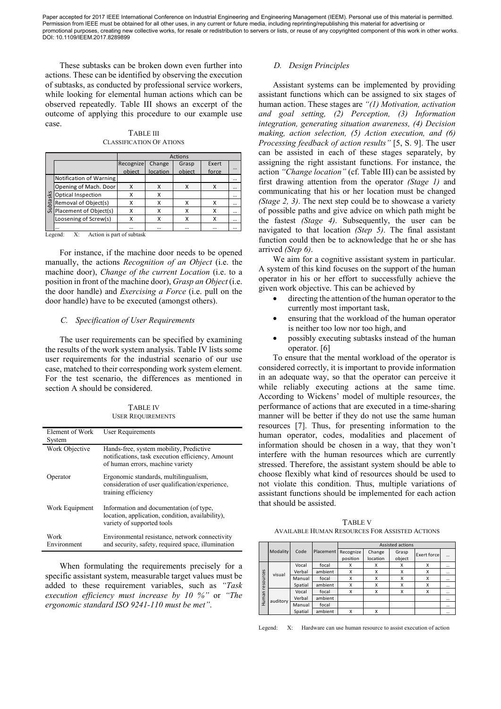Paper accepted for 2017 IEEE International Conference on Industrial Engineering and Engineering Management (IEEM). Personal use of this material is permitted Permission from IEEE must be obtained for all other uses, in any current or future media, including reprinting/republishing this material for advertising or promotional purposes, creating new collective works, for resale or redistribution to servers or lists, or reuse of any copyrighted component of this work in other works. DOI: 10.1109/IEEM.2017.8289899

These subtasks can be broken down even further into actions. These can be identified by observing the execution of subtasks, as conducted by professional service workers, while looking for elemental human actions which can be observed repeatedly. Table III shows an excerpt of the outcome of applying this procedure to our example use case.

| <b>TABLE III</b>                |
|---------------------------------|
| <b>CLASSIFICATION OF ATIONS</b> |

|          |                           | <b>Actions</b> |          |        |       |  |  |
|----------|---------------------------|----------------|----------|--------|-------|--|--|
|          |                           | Recognize      | Change   | Grasp  | Exert |  |  |
|          |                           | object         | location | object | force |  |  |
|          | Notification of Warning   |                |          |        |       |  |  |
|          | Opening of Mach. Door     |                |          | x      |       |  |  |
| Subtasks | <b>Optical Inspection</b> |                |          |        |       |  |  |
|          | Removal of Object(s)      | x              |          | x      |       |  |  |
|          | Placement of Object(s)    | x              |          | x      |       |  |  |
|          | Loosening of Screw(s)     | x              | x        | x      |       |  |  |
|          |                           |                |          |        |       |  |  |

Legend: X: Action is part of subtask

For instance, if the machine door needs to be opened manually, the actions *Recognition of an Object* (i.e. the machine door), *Change of the current Location* (i.e. to a position in front of the machine door), *Grasp an Object* (i.e. the door handle) and *Exercising a Force* (i.e. pull on the door handle) have to be executed (amongst others).

#### *C. Specification of User Requirements*

The user requirements can be specified by examining the results of the work system analysis. Table IV lists some user requirements for the industrial scenario of our use case, matched to their corresponding work system element. For the test scenario, the differences as mentioned in section A should be considered.

| Element of Work<br>System | User Requirements                                                                                                               |
|---------------------------|---------------------------------------------------------------------------------------------------------------------------------|
| Work Objective            | Hands-free, system mobility, Predictive<br>notifications, task execution efficiency, Amount<br>of human errors, machine variety |
| Operator                  | Ergonomic standards, multilingualism,<br>consideration of user qualification/experience,<br>training efficiency                 |
| Work Equipment            | Information and documentation (of type,<br>location, application, condition, availability),<br>variety of supported tools       |
| Work<br>Environment       | Environmental resistance, network connectivity<br>and security, safety, required space, illumination                            |

TABLE IV USER REQUIREMENTS

When formulating the requirements precisely for a specific assistant system, measurable target values must be added to these requirement variables, such as *"Task execution efficiency must increase by 10 %"* or *"The ergonomic standard ISO 9241-110 must be met"*.

#### *D. Design Principles*

Assistant systems can be implemented by providing assistant functions which can be assigned to six stages of human action. These stages are *"(1) Motivation, activation and goal setting, (2) Perception, (3) Information integration, generating situation awareness, (4) Decision making, action selection, (5) Action execution, and (6) Processing feedback of action results"* [5, S. 9]. The user can be assisted in each of these stages separately, by assigning the right assistant functions. For instance, the action *"Change location"* (cf. Table III) can be assisted by first drawing attention from the operator *(Stage 1)* and communicating that his or her location must be changed *(Stage 2, 3)*. The next step could be to showcase a variety of possible paths and give advice on which path might be the fastest *(Stage 4)*. Subsequently, the user can be navigated to that location *(Step 5)*. The final assistant function could then be to acknowledge that he or she has arrived *(Step 6)*.

We aim for a cognitive assistant system in particular. A system of this kind focuses on the support of the human operator in his or her effort to successfully achieve the given work objective. This can be achieved by

- directing the attention of the human operator to the currently most important task,
- ensuring that the workload of the human operator is neither too low nor too high, and
- possibly executing subtasks instead of the human operator. [6]

To ensure that the mental workload of the operator is considered correctly, it is important to provide information in an adequate way, so that the operator can perceive it while reliably executing actions at the same time. According to Wickens' model of multiple resource*s*, the performance of actions that are executed in a time-sharing manner will be better if they do not use the same human resources [7]. Thus, for presenting information to the human operator, codes, modalities and placement of information should be chosen in a way, that they won't interfere with the human resources which are currently stressed. Therefore, the assistant system should be able to choose flexibly what kind of resources should be used to not violate this condition. Thus, multiple variations of assistant functions should be implemented for each action that should be assisted.

TABLE V AVAILABLE HUMAN RESOURCES FOR ASSISTED ACTIONS

|                    |          |         |           |           | Assisted actions |        |                    |          |  |
|--------------------|----------|---------|-----------|-----------|------------------|--------|--------------------|----------|--|
|                    | Modality | Code    | Placement | Recognize | Change           | Grasp  | <b>Exert force</b> |          |  |
|                    |          |         |           | position  | location         | object |                    | $\cdots$ |  |
|                    | visual   | Vocal   | focal     | x         | X                | x      | X                  | $\cdots$ |  |
|                    |          | Verbal  | ambient   | x         | X                | X      | X                  | $\cdots$ |  |
| resources<br>Human |          | Manual  | focal     | x         | x                | X      | X                  | $\cdots$ |  |
|                    |          | Spatial | ambient   | X         | x                | X      | x                  | $\cdots$ |  |
|                    |          | Vocal   | focal     | x         | x                | X      | X                  | $\cdots$ |  |
|                    | auditory | Verbal  | ambient   |           |                  |        |                    | $\cdots$ |  |
|                    |          | Manual  | focal     |           |                  |        |                    | $\cdots$ |  |
|                    |          | Spatial | ambient   | X         | x                |        |                    |          |  |

Legend: X: Hardware can use human resource to assist execution of action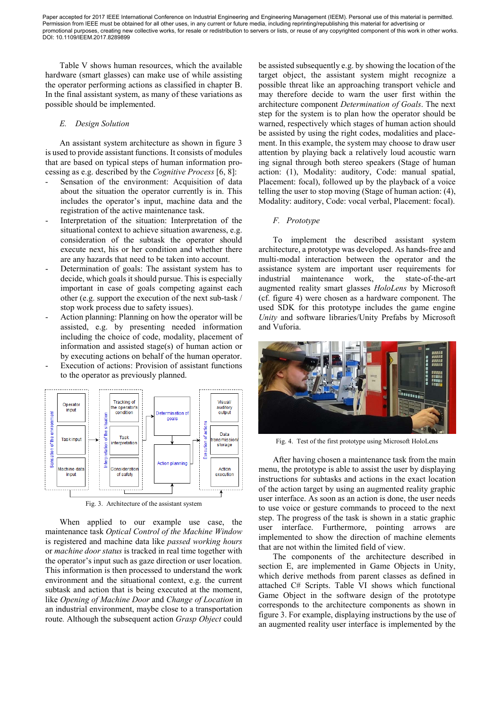Paper accepted for 2017 IEEE International Conference on Industrial Engineering and Engineering Management (IEEM). Personal use of this material is permitted Permission from IEEE must be obtained for all other uses, in any current or future media, including reprinting/republishing this material for advertising or promotional purposes, creating new collective works, for resale or redistribution to servers or lists, or reuse of any copyrighted component of this work in other works. DOI: 10.1109/IEEM.2017.8289899

Table V shows human resources, which the available hardware (smart glasses) can make use of while assisting the operator performing actions as classified in chapter B. In the final assistant system, as many of these variations as possible should be implemented.

## *E. Design Solution*

An assistant system architecture as shown in figure 3 is used to provide assistant functions. It consists of modules that are based on typical steps of human information processing as e.g. described by the *Cognitive Process* [6, 8]:

- Sensation of the environment: Acquisition of data about the situation the operator currently is in. This includes the operator's input, machine data and the registration of the active maintenance task.
- Interpretation of the situation: Interpretation of the situational context to achieve situation awareness, e.g. consideration of the subtask the operator should execute next, his or her condition and whether there are any hazards that need to be taken into account.
- Determination of goals: The assistant system has to decide, which goals it should pursue. This is especially important in case of goals competing against each other (e.g. support the execution of the next sub-task / stop work process due to safety issues).
- Action planning: Planning on how the operator will be assisted, e.g. by presenting needed information including the choice of code, modality, placement of information and assisted stage(s) of human action or by executing actions on behalf of the human operator.
- Execution of actions: Provision of assistant functions to the operator as previously planned.



Fig. 3. Architecture of the assistant system

When applied to our example use case, the maintenance task *Optical Control of the Machine Window* is registered and machine data like *passed working hours* or *machine door status* is tracked in real time together with the operator's input such as gaze direction or user location. This information is then processed to understand the work environment and the situational context, e.g. the current subtask and action that is being executed at the moment, like *Opening of Machine Door* and *Change of Location* in an industrial environment, maybe close to a transportation route*.* Although the subsequent action *Grasp Object* could

be assisted subsequently e.g. by showing the location of the target object, the assistant system might recognize a possible threat like an approaching transport vehicle and may therefore decide to warn the user first within the architecture component *Determination of Goals*. The next step for the system is to plan how the operator should be warned, respectively which stages of human action should be assisted by using the right codes, modalities and placement. In this example, the system may choose to draw user attention by playing back a relatively loud acoustic warn ing signal through both stereo speakers (Stage of human action: (1), Modality: auditory, Code: manual spatial, Placement: focal), followed up by the playback of a voice telling the user to stop moving (Stage of human action: (4), Modality: auditory, Code: vocal verbal, Placement: focal).

#### *F. Prototype*

To implement the described assistant system architecture, a prototype was developed. As hands-free and multi-modal interaction between the operator and the assistance system are important user requirements for industrial maintenance work, the state-of-the-art augmented reality smart glasses *HoloLens* by Microsoft (cf. figure 4) were chosen as a hardware component. The used SDK for this prototype includes the game engine *Unity* and software libraries/Unity Prefabs by Microsoft and Vuforia.



Fig. 4. Test of the first prototype using Microsoft HoloLens

After having chosen a maintenance task from the main menu, the prototype is able to assist the user by displaying instructions for subtasks and actions in the exact location of the action target by using an augmented reality graphic user interface. As soon as an action is done, the user needs to use voice or gesture commands to proceed to the next step. The progress of the task is shown in a static graphic user interface. Furthermore, pointing arrows are implemented to show the direction of machine elements that are not within the limited field of view.

The components of the architecture described in section E, are implemented in Game Objects in Unity, which derive methods from parent classes as defined in attached C# Scripts. Table VI shows which functional Game Object in the software design of the prototype corresponds to the architecture components as shown in figure 3. For example, displaying instructions by the use of an augmented reality user interface is implemented by the